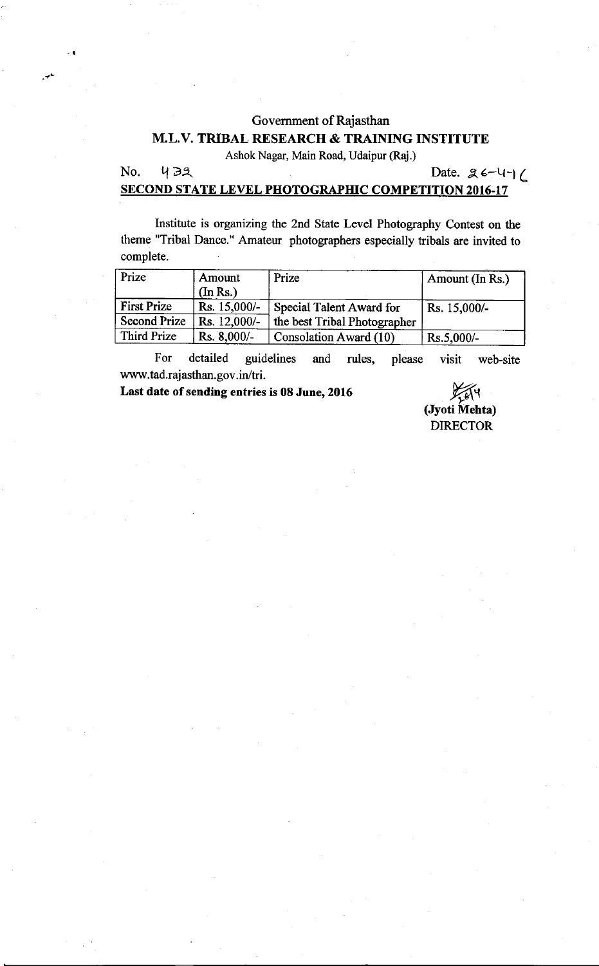#### Govemment of Rajasthan

## M.L.V. TRIBAL RESEARCH & TRAINING INSTITUTE

Ashok Nagar, Main Road, Udaipur (Raj.)

 $N$ o.  $432$  Date.  $26-4$  $16$ 

## SECOND STATE LEVEL PHOTOGRAPHIC COMPETITION 2016-17

lnstitute is organizing the 2nd State Level Photography Contest on the theme "Tribal Dance." Amateur photographers especially tribals are invited to complete.

| Prize        | Amount        | Prize                         | Amount (In Rs.) |
|--------------|---------------|-------------------------------|-----------------|
|              | (In Rs.)      |                               |                 |
| First Prize  | Rs. 15,000/-  | Special Talent Award for      | Rs. 15,000/-    |
| Second Prize | Rs. 12,000/-  | the best Tribal Photographer  |                 |
| Third Prize  | $Rs. 8,000/-$ | <b>Consolation Award (10)</b> | $Rs.5,000/-$    |

For detailed guidelines and rules, please www.tad.rajasthan.gov.in/tri. visit web-site

Last date of sending entries is 08 June, 2016

۷<br>(Jyoti Mehta) **DIRECTOR**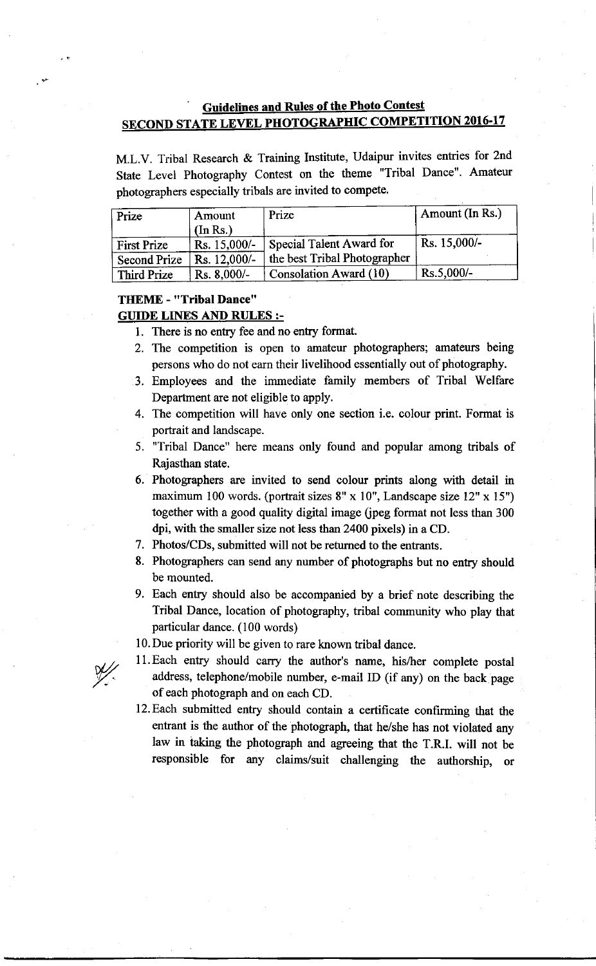# **Guidelines and Rules of the Photo Contest SECOND STATE LEVEL PHOTOGRAPHIC COMPETITION 2016-17**

M.L.V. Tribal Research & Training Institute, Udaipur invites entries for 2nd State Level Photography Contest on the theme "Tribal Dance". Amateur photographers especially tribals are invited to compete.

| Prize               | Amount<br>(In Rs.) | Prize                        | Amount (In Rs.) |
|---------------------|--------------------|------------------------------|-----------------|
| <b>First Prize</b>  | $Rs. 15,000/-$     | Special Talent Award for     | Rs. 15,000/-    |
| <b>Second Prize</b> | Rs. 12,000/-       | the best Tribal Photographer |                 |
| Third Prize         | $Rs. 8,000/-$      | Consolation Award (10)       | $Rs.5,000/-$    |

#### TffiME - "Tribal Dance" **GUIDE LINES AND RULES :-**

# 1. There is no entry fee and no entry format.

- 2. The competition is open to amateur photographers; amateurs being persons who do not earn their livelihood essentially out of photography.
- 3. Employees and the immediate family members of Tribal Welfare Department are not eligible to apply.
- 4. The competition will have only one section i.e. colour print. Format is portrait and landscape.
- 5. 'Tribal Dance" here means only found and popular among tribals of Rajasthan state.
- 6. Photographers are invited to send colour prints along with detail in maximum 100 words. (portrait sizes 8" x 10", Landscape size 12" x 15") together with a good quality digital image (jpeg format not less than 300 dpi, with the smaller size not less than 2400 pixels) in a CD.
- 7. Photos/CDs. submitted will not be retumed to the entrants.
- 8. Photographers can send any number of photographs but no entry should be mounted.
- 9. Each entry should also be accompanied by a brief note describing the Tribal Dance, location of photography, tribal community who play that particular dance. (100 words)
- 10. Due priority will be given to rare known tribal dance.
- Il.Each entry should carry the author's name, hislher complete postal address, telephone/mobile number, e-mail ID (if any) on the back page of each photograph and on each CD.
- l2.Each submitted entry should contain a certificate confirming that the entrant is the author of the photograph, that he/she has not violated any law in iaking the photograph and agreeing that the T.R.I. will not be responsible for any claims/suit challenging the authorship, or

Y/